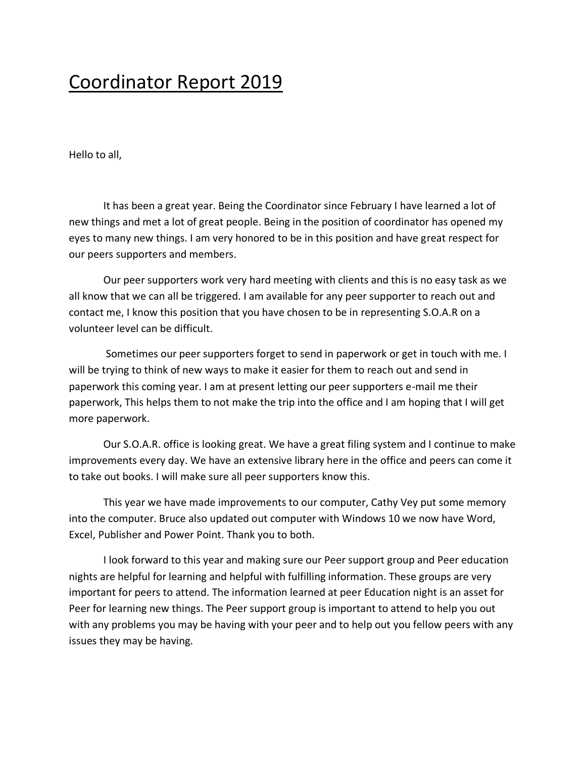## Coordinator Report 2019

Hello to all,

It has been a great year. Being the Coordinator since February I have learned a lot of new things and met a lot of great people. Being in the position of coordinator has opened my eyes to many new things. I am very honored to be in this position and have great respect for our peers supporters and members.

Our peer supporters work very hard meeting with clients and this is no easy task as we all know that we can all be triggered. I am available for any peer supporter to reach out and contact me, I know this position that you have chosen to be in representing S.O.A.R on a volunteer level can be difficult.

Sometimes our peer supporters forget to send in paperwork or get in touch with me. I will be trying to think of new ways to make it easier for them to reach out and send in paperwork this coming year. I am at present letting our peer supporters e-mail me their paperwork, This helps them to not make the trip into the office and I am hoping that I will get more paperwork.

Our S.O.A.R. office is looking great. We have a great filing system and I continue to make improvements every day. We have an extensive library here in the office and peers can come it to take out books. I will make sure all peer supporters know this.

This year we have made improvements to our computer, Cathy Vey put some memory into the computer. Bruce also updated out computer with Windows 10 we now have Word, Excel, Publisher and Power Point. Thank you to both.

I look forward to this year and making sure our Peer support group and Peer education nights are helpful for learning and helpful with fulfilling information. These groups are very important for peers to attend. The information learned at peer Education night is an asset for Peer for learning new things. The Peer support group is important to attend to help you out with any problems you may be having with your peer and to help out you fellow peers with any issues they may be having.